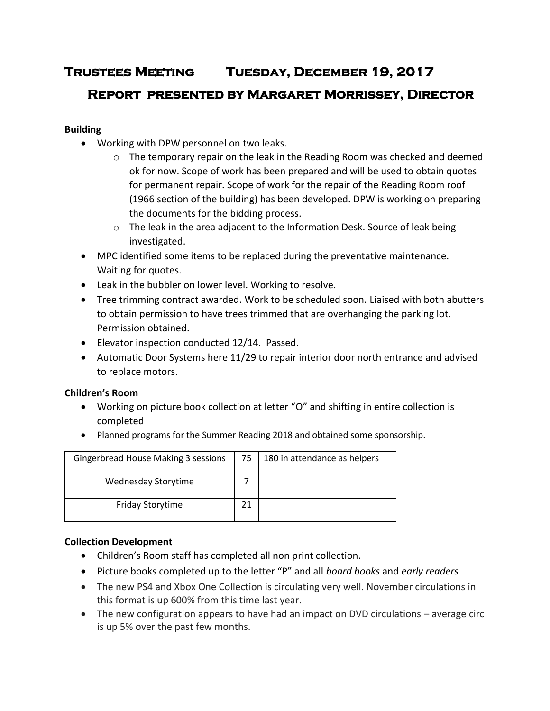# **Trustees Meeting Tuesday, December 19, 2017**

# **Report presented by Margaret Morrissey, Director**

# **Building**

- Working with DPW personnel on two leaks.
	- $\circ$  The temporary repair on the leak in the Reading Room was checked and deemed ok for now. Scope of work has been prepared and will be used to obtain quotes for permanent repair. Scope of work for the repair of the Reading Room roof (1966 section of the building) has been developed. DPW is working on preparing the documents for the bidding process.
	- $\circ$  The leak in the area adjacent to the Information Desk. Source of leak being investigated.
- MPC identified some items to be replaced during the preventative maintenance. Waiting for quotes.
- Leak in the bubbler on lower level. Working to resolve.
- Tree trimming contract awarded. Work to be scheduled soon. Liaised with both abutters to obtain permission to have trees trimmed that are overhanging the parking lot. Permission obtained.
- Elevator inspection conducted 12/14. Passed.
- Automatic Door Systems here 11/29 to repair interior door north entrance and advised to replace motors.

# **Children's Room**

- Working on picture book collection at letter "O" and shifting in entire collection is completed
- Planned programs for the Summer Reading 2018 and obtained some sponsorship.

| Gingerbread House Making 3 sessions | 75 | 180 in attendance as helpers |
|-------------------------------------|----|------------------------------|
| Wednesday Storytime                 |    |                              |
| <b>Friday Storytime</b>             |    |                              |

# **Collection Development**

- Children's Room staff has completed all non print collection.
- Picture books completed up to the letter "P" and all *board books* and *early readers*
- The new PS4 and Xbox One Collection is circulating very well. November circulations in this format is up 600% from this time last year.
- The new configuration appears to have had an impact on DVD circulations average circ is up 5% over the past few months.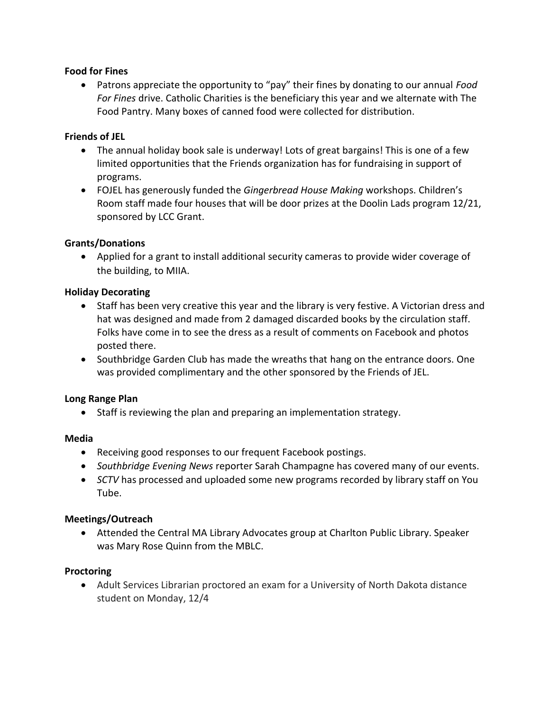## **Food for Fines**

 Patrons appreciate the opportunity to "pay" their fines by donating to our annual *Food For Fines* drive. Catholic Charities is the beneficiary this year and we alternate with The Food Pantry. Many boxes of canned food were collected for distribution.

## **Friends of JEL**

- The annual holiday book sale is underway! Lots of great bargains! This is one of a few limited opportunities that the Friends organization has for fundraising in support of programs.
- FOJEL has generously funded the *Gingerbread House Making* workshops. Children's Room staff made four houses that will be door prizes at the Doolin Lads program 12/21, sponsored by LCC Grant.

## **Grants/Donations**

 Applied for a grant to install additional security cameras to provide wider coverage of the building, to MIIA.

## **Holiday Decorating**

- Staff has been very creative this year and the library is very festive. A Victorian dress and hat was designed and made from 2 damaged discarded books by the circulation staff. Folks have come in to see the dress as a result of comments on Facebook and photos posted there.
- Southbridge Garden Club has made the wreaths that hang on the entrance doors. One was provided complimentary and the other sponsored by the Friends of JEL.

#### **Long Range Plan**

• Staff is reviewing the plan and preparing an implementation strategy.

#### **Media**

- Receiving good responses to our frequent Facebook postings.
- *Southbridge Evening News* reporter Sarah Champagne has covered many of our events.
- *SCTV* has processed and uploaded some new programs recorded by library staff on You Tube.

#### **Meetings/Outreach**

 Attended the Central MA Library Advocates group at Charlton Public Library. Speaker was Mary Rose Quinn from the MBLC.

#### **Proctoring**

 Adult Services Librarian proctored an exam for a University of North Dakota distance student on Monday, 12/4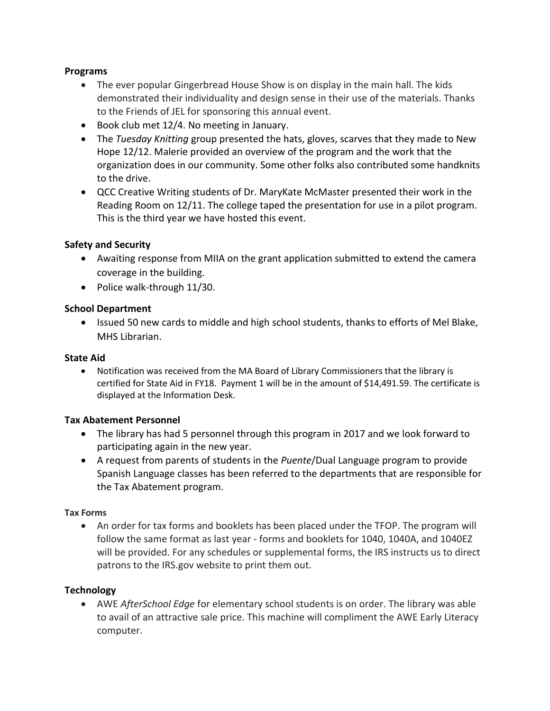## **Programs**

- The ever popular Gingerbread House Show is on display in the main hall. The kids demonstrated their individuality and design sense in their use of the materials. Thanks to the Friends of JEL for sponsoring this annual event.
- Book club met 12/4. No meeting in January.
- The *Tuesday Knitting* group presented the hats, gloves, scarves that they made to New Hope 12/12. Malerie provided an overview of the program and the work that the organization does in our community. Some other folks also contributed some handknits to the drive.
- QCC Creative Writing students of Dr. MaryKate McMaster presented their work in the Reading Room on 12/11. The college taped the presentation for use in a pilot program. This is the third year we have hosted this event.

# **Safety and Security**

- Awaiting response from MIIA on the grant application submitted to extend the camera coverage in the building.
- Police walk-through 11/30.

## **School Department**

• Issued 50 new cards to middle and high school students, thanks to efforts of Mel Blake, MHS Librarian.

#### **State Aid**

 Notification was received from the MA Board of Library Commissioners that the library is certified for State Aid in FY18. Payment 1 will be in the amount of \$14,491.59. The certificate is displayed at the Information Desk.

#### **Tax Abatement Personnel**

- The library has had 5 personnel through this program in 2017 and we look forward to participating again in the new year.
- A request from parents of students in the *Puente*/Dual Language program to provide Spanish Language classes has been referred to the departments that are responsible for the Tax Abatement program.

#### **Tax Forms**

 An order for tax forms and booklets has been placed under the TFOP. The program will follow the same format as last year - forms and booklets for 1040, 1040A, and 1040EZ will be provided. For any schedules or supplemental forms, the IRS instructs us to direct patrons to the IRS.gov website to print them out.

#### **Technology**

 AWE *AfterSchool Edge* for elementary school students is on order. The library was able to avail of an attractive sale price. This machine will compliment the AWE Early Literacy computer.